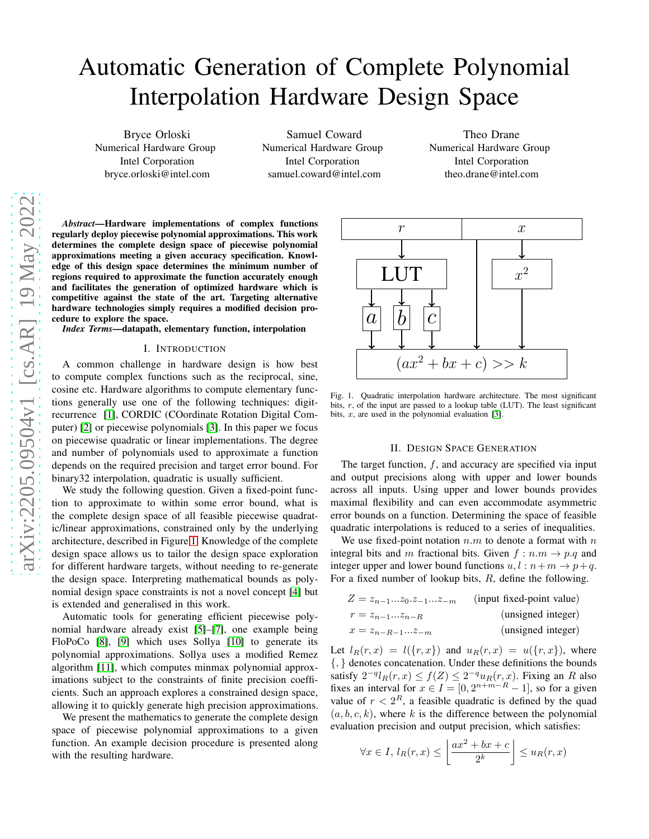# Automatic Generation of Complete Polynomial Interpolation Hardware Design Space

Bryce Orloski Numerical Hardware Group Intel Corporation bryce.orloski@intel.com

Samuel Coward Numerical Hardware Group Intel Corporation samuel.coward@intel.com

Theo Drane Numerical Hardware Group Intel Corporation theo.drane@intel.com

*Abstract*—Hardware implementations of complex functions regularly deploy piecewise polynomial approximations. This work determines the complete design space of piecewise polynomial approximations meeting a given accuracy specification. Knowledge of this design space determines the minimum number of regions required to approximate the function accurately enough and facilitates the generation of optimized hardware which is competitive against the state of the art. Targeting alternative hardware technologies simply requires a modified decision procedure to explore the space.

*Index Terms*—datapath, elementary function, interpolation

### I. INTRODUCTION

A common challenge in hardware design is how best to compute complex functions such as the reciprocal, sine, cosine etc. Hardware algorithms to compute elementary functions generally use one of the following techniques: digitrecurrence [\[1\]](#page-3-0), CORDIC (COordinate Rotation Digital Computer) [\[2\]](#page-3-1) or piecewise polynomials [\[3\]](#page-3-2). In this paper we focus on piecewise quadratic or linear implementations. The degree and number of polynomials used to approximate a function depends on the required precision and target error bound. For binary32 interpolation, quadratic is usually sufficient.

We study the following question. Given a fixed-point function to approximate to within some error bound, what is the complete design space of all feasible piecewise quadratic/linear approximations, constrained only by the underlying architecture, described in Figure [1.](#page-0-0) Knowledge of the complete design space allows us to tailor the design space exploration for different hardware targets, without needing to re-generate the design space. Interpreting mathematical bounds as polynomial design space constraints is not a novel concept [\[4\]](#page-3-3) but is extended and generalised in this work.

Automatic tools for generating efficient piecewise polynomial hardware already exist [\[5\]](#page-3-4)–[\[7\]](#page-3-5), one example being FloPoCo [\[8\]](#page-3-6), [\[9\]](#page-3-7) which uses Sollya [\[10\]](#page-3-8) to generate its polynomial approximations. Sollya uses a modified Remez algorithm [\[11\]](#page-3-9), which computes minmax polynomial approximations subject to the constraints of finite precision coefficients. Such an approach explores a constrained design space, allowing it to quickly generate high precision approximations.

We present the mathematics to generate the complete design space of piecewise polynomial approximations to a given function. An example decision procedure is presented along with the resulting hardware.



<span id="page-0-0"></span>Fig. 1. Quadratic interpolation hardware architecture. The most significant bits,  $r$ , of the input are passed to a lookup table (LUT). The least significant bits,  $x$ , are used in the polynomial evaluation [\[3\]](#page-3-2).

## II. DESIGN SPACE GENERATION

<span id="page-0-1"></span>The target function,  $f$ , and accuracy are specified via input and output precisions along with upper and lower bounds across all inputs. Using upper and lower bounds provides maximal flexibility and can even accommodate asymmetric error bounds on a function. Determining the space of feasible quadratic interpolations is reduced to a series of inequalities.

We use fixed-point notation  $n.m$  to denote a format with  $n$ integral bits and m fractional bits. Given  $f : n.m \rightarrow p.q$  and integer upper and lower bound functions  $u, l : n+m \rightarrow p+q$ . For a fixed number of lookup bits,  $R$ , define the following.

| $Z = z_{n-1}z_0.z_{-1}z_{-m}$ | (input fixed-point value) |
|-------------------------------|---------------------------|
| $r = z_{n-1}z_{n-R}$          | (unsigned integer)        |
| $x = z_{n-R-1}z_{-m}$         | (unsigned integer)        |

Let  $l_R(r, x) = l({r, x})$  and  $u_R(r, x) = u({r, x})$ , where {, } denotes concatenation. Under these definitions the bounds satisfy  $2^{-q}l_R(r, x) \le f(Z) \le 2^{-q}u_R(r, x)$ . Fixing an R also fixes an interval for  $x \in I = [0, 2^{n+m-R} - 1]$ , so for a given value of  $r < 2^R$ , a feasible quadratic is defined by the quad  $(a, b, c, k)$ , where k is the difference between the polynomial evaluation precision and output precision, which satisfies:

$$
\forall x \in I, l_R(r, x) \le \left\lfloor \frac{ax^2 + bx + c}{2^k} \right\rfloor \le u_R(r, x)
$$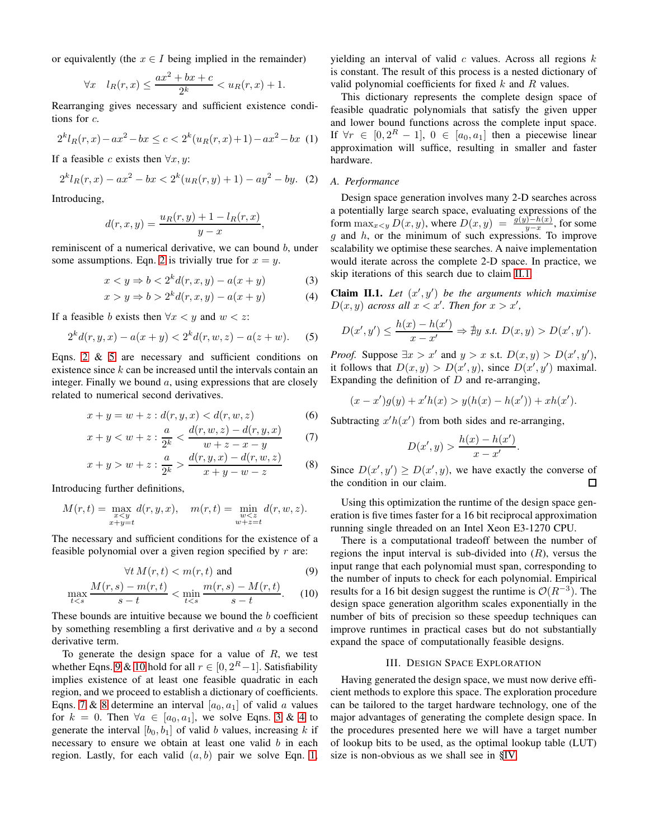or equivalently (the  $x \in I$  being implied in the remainder)

$$
\forall x \quad l_R(r,x) \le \frac{ax^2 + bx + c}{2^k} < u_R(r,x) + 1.
$$

Rearranging gives necessary and sufficient existence conditions for c.

<span id="page-1-8"></span>
$$
2^{k}l_{R}(r,x) - ax^{2} - bx \le c < 2^{k}(u_{R}(r,x) + 1) - ax^{2} - bx \tag{1}
$$

If a feasible c exists then  $\forall x, y$ :

<span id="page-1-0"></span>
$$
2^{k}l_{R}(r,x) - ax^{2} - bx < 2^{k}(u_{R}(r,y) + 1) - ay^{2} - by.
$$
 (2)

Introducing,

$$
d(r, x, y) = \frac{u_R(r, y) + 1 - l_R(r, x)}{y - x},
$$

reminiscent of a numerical derivative, we can bound b, under some assumptions. Eqn. [2](#page-1-0) is trivially true for  $x = y$ .

$$
x < y \Rightarrow b < 2k d(r, x, y) - a(x + y)
$$
 (3)

$$
x > y \Rightarrow b > 2k d(r, x, y) - a(x + y)
$$
 (4)

If a feasible b exists then  $\forall x \leq y$  and  $w \leq z$ :

<span id="page-1-1"></span>
$$
2kd(r, y, x) - a(x + y) < 2kd(r, w, z) - a(z + w). \tag{5}
$$

Eqns. [2](#page-1-0) & [5](#page-1-1) are necessary and sufficient conditions on existence since  $k$  can be increased until the intervals contain an integer. Finally we bound  $a$ , using expressions that are closely related to numerical second derivatives.

$$
x + y = w + z : d(r, y, x) < d(r, w, z) \tag{6}
$$

$$
x + y < w + z : \frac{a}{2^k} < \frac{d(r, w, z) - d(r, y, x)}{w + z - x - y} \tag{7}
$$

$$
x + y > w + z : \frac{a}{2^k} > \frac{d(r, y, x) - d(r, w, z)}{x + y - w - z}
$$
 (8)

Introducing further definitions,

$$
M(r,t) = \max_{\substack{x \le y \\ x+y=t}} d(r,y,x), \quad m(r,t) = \min_{\substack{w \le z \\ w+z=t}} d(r,w,z).
$$

The necessary and sufficient conditions for the existence of a feasible polynomial over a given region specified by  $r$  are:

$$
\forall t \, M(r, t) < m(r, t) \text{ and} \tag{9}
$$

$$
\max_{t < s} \frac{M(r, s) - m(r, t)}{s - t} < \min_{t < s} \frac{m(r, s) - M(r, t)}{s - t}.\tag{10}
$$

These bounds are intuitive because we bound the  $b$  coefficient by something resembling a first derivative and  $a$  by a second derivative term.

To generate the design space for a value of  $R$ , we test whether Eqns. [9](#page-1-2) & [10](#page-1-3) hold for all  $r \in [0, 2^R - 1]$ . Satisfiability implies existence of at least one feasible quadratic in each region, and we proceed to establish a dictionary of coefficients. Eqns. [7](#page-1-4) & [8](#page-1-5) determine an interval  $[a_0, a_1]$  of valid a values for  $k = 0$ . Then  $\forall a \in [a_0, a_1]$ , we solve Eqns. [3](#page-1-6) & [4](#page-1-7) to generate the interval  $[b_0, b_1]$  of values, increasing k if necessary to ensure we obtain at least one valid b in each region. Lastly, for each valid  $(a, b)$  pair we solve Eqn. [1,](#page-1-8) yielding an interval of valid  $c$  values. Across all regions  $k$ is constant. The result of this process is a nested dictionary of valid polynomial coefficients for fixed  $k$  and  $R$  values.

This dictionary represents the complete design space of feasible quadratic polynomials that satisfy the given upper and lower bound functions across the complete input space. If  $\forall r \in [0, 2^R - 1]$ ,  $0 \in [a_0, a_1]$  then a piecewise linear approximation will suffice, resulting in smaller and faster hardware.

## *A. Performance*

Design space generation involves many 2-D searches across a potentially large search space, evaluating expressions of the form  $\max_{x \leq y} D(x, y)$ , where  $D(x, y) = \frac{g(y) - h(x)}{y - x}$ , for some g and  $h$ , or the minimum of such expressions. To improve scalability we optimise these searches. A naive implementation would iterate across the complete 2-D space. In practice, we skip iterations of this search due to claim [II.1.](#page-1-9)

<span id="page-1-9"></span><span id="page-1-7"></span><span id="page-1-6"></span>**Claim II.1.** Let  $(x', y')$  be the arguments which maximise  $D(x, y)$  *across all*  $x < x'$ . Then for  $x > x'$ ,

$$
D(x', y') \leq \frac{h(x) - h(x')}{x - x'} \Rightarrow \nexists y \text{ s.t. } D(x, y) > D(x', y').
$$

*Proof.* Suppose  $\exists x > x'$  and  $y > x$  s.t.  $D(x, y) > D(x', y')$ , it follows that  $D(x, y) > D(x', y)$ , since  $D(x', y')$  maximal. Expanding the definition of  $D$  and re-arranging,

$$
(x - x')g(y) + x'h(x) > y(h(x) - h(x')) + xh(x').
$$

<span id="page-1-4"></span>Subtracting  $x'h(x')$  from both sides and re-arranging,

$$
D(x', y) > \frac{h(x) - h(x')}{x - x'}.
$$

<span id="page-1-5"></span>Since  $D(x', y') \ge D(x', y)$ , we have exactly the converse of the condition in our claim.  $\Box$ 

Using this optimization the runtime of the design space generation is five times faster for a 16 bit reciprocal approximation running single threaded on an Intel Xeon E3-1270 CPU.

<span id="page-1-3"></span><span id="page-1-2"></span>There is a computational tradeoff between the number of regions the input interval is sub-divided into  $(R)$ , versus the input range that each polynomial must span, corresponding to the number of inputs to check for each polynomial. Empirical results for a 16 bit design suggest the runtime is  $\mathcal{O}(R^{-3})$ . The design space generation algorithm scales exponentially in the number of bits of precision so these speedup techniques can improve runtimes in practical cases but do not substantially expand the space of computationally feasible designs.

# III. DESIGN SPACE EXPLORATION

Having generated the design space, we must now derive efficient methods to explore this space. The exploration procedure can be tailored to the target hardware technology, one of the major advantages of generating the complete design space. In the procedures presented here we will have a target number of lookup bits to be used, as the optimal lookup table (LUT) size is non-obvious as we shall see in [§IV.](#page-2-0)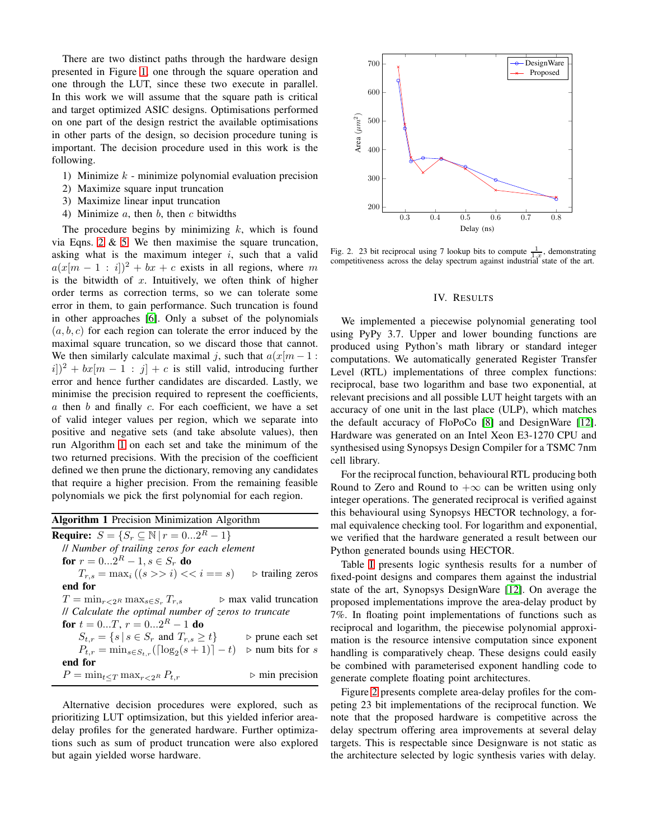There are two distinct paths through the hardware design presented in Figure [1,](#page-0-0) one through the square operation and one through the LUT, since these two execute in parallel. In this work we will assume that the square path is critical and target optimized ASIC designs. Optimisations performed on one part of the design restrict the available optimisations in other parts of the design, so decision procedure tuning is important. The decision procedure used in this work is the following.

- 1) Minimize  $k$  minimize polynomial evaluation precision
- 2) Maximize square input truncation
- 3) Maximize linear input truncation
- 4) Minimize  $a$ , then  $b$ , then  $c$  bitwidths

The procedure begins by minimizing  $k$ , which is found via Eqns. [2](#page-1-0)  $\&$  [5.](#page-1-1) We then maximise the square truncation, asking what is the maximum integer  $i$ , such that a valid  $a(x[m - 1 : i])^2 + bx + c$  exists in all regions, where m is the bitwidth of  $x$ . Intuitively, we often think of higher order terms as correction terms, so we can tolerate some error in them, to gain performance. Such truncation is found in other approaches [\[6\]](#page-3-10). Only a subset of the polynomials  $(a, b, c)$  for each region can tolerate the error induced by the maximal square truncation, so we discard those that cannot. We then similarly calculate maximal j, such that  $a(x|m-1)$ :  $|i|)^2 + bx[m-1 : j] + c$  is still valid, introducing further error and hence further candidates are discarded. Lastly, we minimise the precision required to represent the coefficients,  $a$  then  $b$  and finally  $c$ . For each coefficient, we have a set of valid integer values per region, which we separate into positive and negative sets (and take absolute values), then run Algorithm [1](#page-2-1) on each set and take the minimum of the two returned precisions. With the precision of the coefficient defined we then prune the dictionary, removing any candidates that require a higher precision. From the remaining feasible polynomials we pick the first polynomial for each region.

<span id="page-2-1"></span>

| <b>Algorithm 1</b> Precision Minimization Algorithm               |  |  |  |  |  |
|-------------------------------------------------------------------|--|--|--|--|--|
| <b>Require:</b> $S = \{S_r \subseteq \mathbb{N}   r = 02^R - 1\}$ |  |  |  |  |  |
| // Number of trailing zeros for each element                      |  |  |  |  |  |
| for $r = 02^R - 1, s \in S_r$ do                                  |  |  |  |  |  |
| $\triangleright$ trailing zeros                                   |  |  |  |  |  |
|                                                                   |  |  |  |  |  |
| $\triangleright$ max valid truncation                             |  |  |  |  |  |
| <i>ll</i> Calculate the optimal number of zeros to truncate       |  |  |  |  |  |
|                                                                   |  |  |  |  |  |
| $\triangleright$ prune each set                                   |  |  |  |  |  |
| $\triangleright$ num bits for s                                   |  |  |  |  |  |
|                                                                   |  |  |  |  |  |
| $\triangleright$ min precision                                    |  |  |  |  |  |
|                                                                   |  |  |  |  |  |

Alternative decision procedures were explored, such as prioritizing LUT optimsization, but this yielded inferior areadelay profiles for the generated hardware. Further optimizations such as sum of product truncation were also explored but again yielded worse hardware.



<span id="page-2-2"></span><span id="page-2-0"></span>Fig. 2. 23 bit reciprocal using 7 lookup bits to compute  $\frac{1}{1-x}$ , demonstrating competitiveness across the delay spectrum against industrial state of the art.

## IV. RESULTS

We implemented a piecewise polynomial generating tool using PyPy 3.7. Upper and lower bounding functions are produced using Python's math library or standard integer computations. We automatically generated Register Transfer Level (RTL) implementations of three complex functions: reciprocal, base two logarithm and base two exponential, at relevant precisions and all possible LUT height targets with an accuracy of one unit in the last place (ULP), which matches the default accuracy of FloPoCo [\[8\]](#page-3-6) and DesignWare [\[12\]](#page-3-11). Hardware was generated on an Intel Xeon E3-1270 CPU and synthesised using Synopsys Design Compiler for a TSMC 7nm cell library.

For the reciprocal function, behavioural RTL producing both Round to Zero and Round to  $+\infty$  can be written using only integer operations. The generated reciprocal is verified against this behavioural using Synopsys HECTOR technology, a formal equivalence checking tool. For logarithm and exponential, we verified that the hardware generated a result between our Python generated bounds using HECTOR.

Table [I](#page-3-12) presents logic synthesis results for a number of fixed-point designs and compares them against the industrial state of the art, Synopsys DesignWare [\[12\]](#page-3-11). On average the proposed implementations improve the area-delay product by 7%. In floating point implementations of functions such as reciprocal and logarithm, the piecewise polynomial approximation is the resource intensive computation since exponent handling is comparatively cheap. These designs could easily be combined with parameterised exponent handling code to generate complete floating point architectures.

Figure [2](#page-2-2) presents complete area-delay profiles for the competing 23 bit implementations of the reciprocal function. We note that the proposed hardware is competitive across the delay spectrum offering area improvements at several delay targets. This is respectable since Designware is not static as the architecture selected by logic synthesis varies with delay.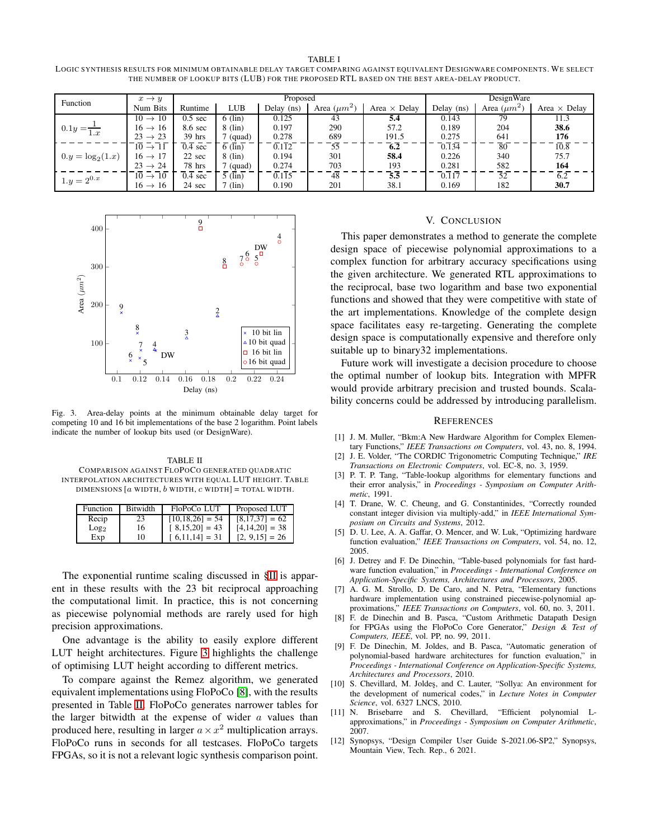<span id="page-3-12"></span>TABLE I LOGIC SYNTHESIS RESULTS FOR MINIMUM OBTAINABLE DELAY TARGET COMPARING AGAINST EQUIVALENT DESIGNWARE COMPONENTS. WE SELECT THE NUMBER OF LOOKUP BITS (LUB) FOR THE PROPOSED RTL BASED ON THE BEST AREA-DELAY PRODUCT.

| Function               | $x \rightarrow y$   | Proposed          |                  |            |                  | DesignWare          |              |                  |                     |
|------------------------|---------------------|-------------------|------------------|------------|------------------|---------------------|--------------|------------------|---------------------|
|                        | Num Bits            | Runtime           | <b>LUB</b>       | Delay (ns) | Area $(\mu m^2)$ | Area $\times$ Delay | Delay $(ns)$ | Area $(\mu m^2)$ | Area $\times$ Delay |
| $0.1y = \frac{1}{1.x}$ | $10 \rightarrow 10$ | $0.5 \text{ sec}$ | $6$ (lin)        | 0.125      | 43               | 5.4                 | 0.143        | 79               | 11.3                |
|                        | $16 \rightarrow 16$ | 8.6 sec           | $8 \ (lin)$      | 0.197      | 290              | 57.2                | 0.189        | 204              | 38.6                |
|                        | $23 \rightarrow 23$ | $39$ hrs          | (quad)           | 0.278      | 689              | 191.5               | 0.275        | 641              | 176                 |
| $0.y = \log_2(1.x)$    | $10 \rightarrow 11$ | $0.4 \text{ sec}$ | $6$ (lin)        | 0.112      | 55               | 6.2                 | 0.134        | 80               | 10.8                |
|                        | $16 \rightarrow 17$ | 22 sec            | $8 \ (lin)$      | 0.194      | 301              | 58.4                | 0.226        | 340              | 75.7                |
|                        | $23 \rightarrow 24$ | 78 hrs            | (quad)           | 0.274      | 703              | 193                 | 0.281        | 582              | 164                 |
| $1.y = 2^{0.x}$        | $10 \rightarrow 10$ | $0.4 \text{ sec}$ | $5$ (lin)        | 0.115      | 48               | 5.5                 | 0.117        | 52               | 6.2                 |
|                        | $16 \rightarrow 16$ | 24 sec            | $\frac{7}{\sin}$ | 0.190      | 201              | 38.1                | 0.169        | 182              | 30.7                |



<span id="page-3-13"></span>Fig. 3. Area-delay points at the minimum obtainable delay target for competing 10 and 16 bit implementations of the base 2 logarithm. Point labels indicate the number of lookup bits used (or DesignWare).

<span id="page-3-14"></span>TABLE II COMPARISON AGAINST FLOPOCO GENERATED QUADRATIC INTERPOLATION ARCHITECTURES WITH EQUAL LUT HEIGHT. TABLE DIMENSIONS  $[a$  WIDTH,  $b$  WIDTH,  $c$  WIDTH] = TOTAL WIDTH.

| Function         | Bitwidth | FloPoCo LUT                    | Proposed LUT      |
|------------------|----------|--------------------------------|-------------------|
| Recip            | 23       | $[10, 18, 26] = 54$            | $[8,17,37] = 62$  |
| Log <sub>2</sub> | 16       | $[8,15,20] = 43$               | $[4,14,20] = 38$  |
| Exp              | 10       | $\lceil 6, 11, 14 \rceil = 31$ | $[2, 9, 15] = 26$ |

The exponential runtime scaling discussed in [§II](#page-0-1) is apparent in these results with the 23 bit reciprocal approaching the computational limit. In practice, this is not concerning as piecewise polynomial methods are rarely used for high precision approximations.

One advantage is the ability to easily explore different LUT height architectures. Figure [3](#page-3-13) highlights the challenge of optimising LUT height according to different metrics.

To compare against the Remez algorithm, we generated equivalent implementations using FloPoCo [\[8\]](#page-3-6), with the results presented in Table [II.](#page-3-14) FloPoCo generates narrower tables for the larger bitwidth at the expense of wider  $a$  values than produced here, resulting in larger  $a \times x^2$  multiplication arrays. FloPoCo runs in seconds for all testcases. FloPoCo targets FPGAs, so it is not a relevant logic synthesis comparison point.

## V. CONCLUSION

This paper demonstrates a method to generate the complete design space of piecewise polynomial approximations to a complex function for arbitrary accuracy specifications using the given architecture. We generated RTL approximations to the reciprocal, base two logarithm and base two exponential functions and showed that they were competitive with state of the art implementations. Knowledge of the complete design space facilitates easy re-targeting. Generating the complete design space is computationally expensive and therefore only suitable up to binary32 implementations.

Future work will investigate a decision procedure to choose the optimal number of lookup bits. Integration with MPFR would provide arbitrary precision and trusted bounds. Scalability concerns could be addressed by introducing parallelism.

### **REFERENCES**

- <span id="page-3-0"></span>[1] J. M. Muller, "Bkm:A New Hardware Algorithm for Complex Elementary Functions," *IEEE Transactions on Computers*, vol. 43, no. 8, 1994.
- <span id="page-3-1"></span>[2] J. E. Volder, "The CORDIC Trigonometric Computing Technique," *IRE Transactions on Electronic Computers*, vol. EC-8, no. 3, 1959.
- <span id="page-3-2"></span>[3] P. T. P. Tang, "Table-lookup algorithms for elementary functions and their error analysis," in *Proceedings - Symposium on Computer Arithmetic*, 1991.
- <span id="page-3-3"></span>[4] T. Drane, W. C. Cheung, and G. Constantinides, "Correctly rounded constant integer division via multiply-add," in *IEEE International Symposium on Circuits and Systems*, 2012.
- <span id="page-3-4"></span>[5] D. U. Lee, A. A. Gaffar, O. Mencer, and W. Luk, "Optimizing hardware function evaluation," *IEEE Transactions on Computers*, vol. 54, no. 12, 2005.
- <span id="page-3-10"></span>[6] J. Detrey and F. De Dinechin, "Table-based polynomials for fast hardware function evaluation," in *Proceedings - International Conference on Application-Specific Systems, Architectures and Processors*, 2005.
- <span id="page-3-5"></span>[7] A. G. M. Strollo, D. De Caro, and N. Petra, "Elementary functions hardware implementation using constrained piecewise-polynomial approximations," *IEEE Transactions on Computers*, vol. 60, no. 3, 2011.
- <span id="page-3-6"></span>[8] F. de Dinechin and B. Pasca, "Custom Arithmetic Datapath Design for FPGAs using the FloPoCo Core Generator," *Design & Test of Computers, IEEE*, vol. PP, no. 99, 2011.
- <span id="page-3-7"></span>[9] F. De Dinechin, M. Joldes, and B. Pasca, "Automatic generation of polynomial-based hardware architectures for function evaluation," in *Proceedings - International Conference on Application-Specific Systems, Architectures and Processors*, 2010.
- <span id="page-3-8"></span>[10] S. Chevillard, M. Joldes, and C. Lauter, "Sollya: An environment for the development of numerical codes," in *Lecture Notes in Computer Science*, vol. 6327 LNCS, 2010.
- <span id="page-3-9"></span>[11] N. Brisebarre and S. Chevillard, "Efficient polynomial Lapproximations," in *Proceedings - Symposium on Computer Arithmetic*, 2007.
- <span id="page-3-11"></span>[12] Synopsys, "Design Compiler User Guide S-2021.06-SP2," Synopsys, Mountain View, Tech. Rep., 6 2021.